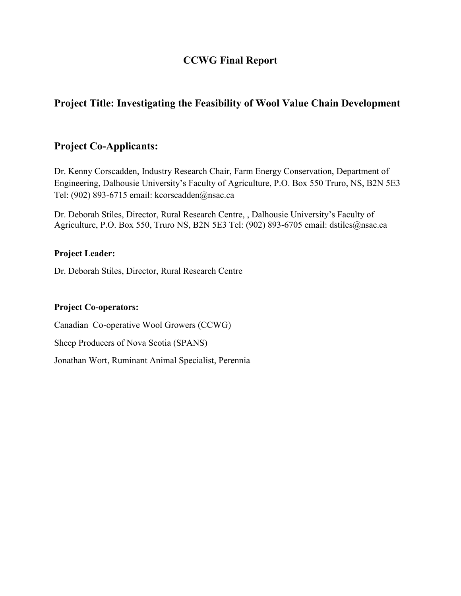# **CCWG Final Report**

# **Project Title: Investigating the Feasibility of Wool Value Chain Development**

# **Project Co-Applicants:**

Dr. Kenny Corscadden, Industry Research Chair, Farm Energy Conservation, Department of Engineering, Dalhousie University's Faculty of Agriculture, P.O. Box 550 Truro, NS, B2N 5E3 Tel: (902) 893-6715 email: kcorscadden@nsac.ca

Dr. Deborah Stiles, Director, Rural Research Centre, , Dalhousie University's Faculty of Agriculture, P.O. Box 550, Truro NS, B2N 5E3 Tel: (902) 893-6705 email: dstiles@nsac.ca

#### **Project Leader:**

Dr. Deborah Stiles, Director, Rural Research Centre

#### **Project Co-operators:**

Canadian Co-operative Wool Growers (CCWG)

Sheep Producers of Nova Scotia (SPANS)

Jonathan Wort, Ruminant Animal Specialist, Perennia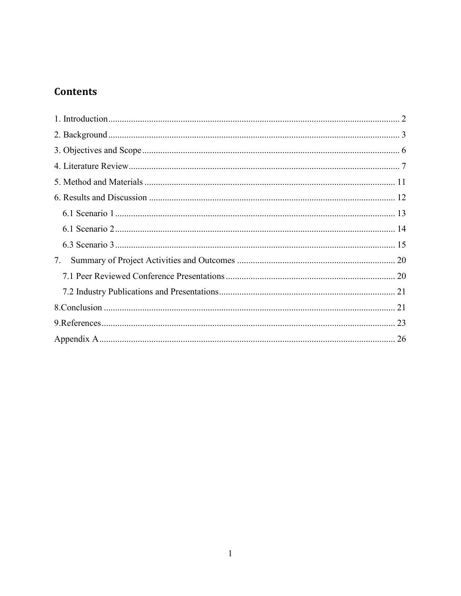# **Contents**

| 7. |  |
|----|--|
|    |  |
|    |  |
|    |  |
|    |  |
|    |  |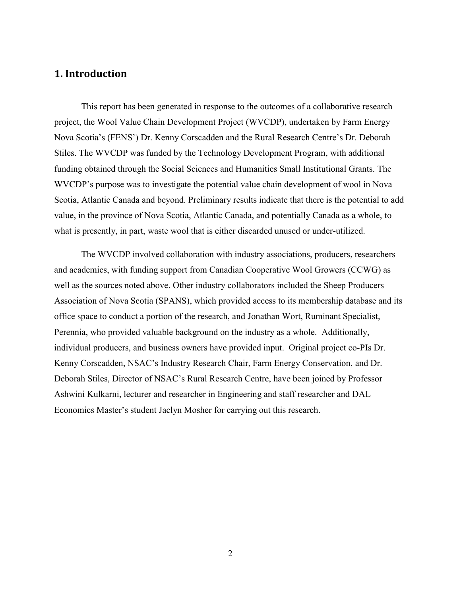#### <span id="page-2-0"></span>**1. Introduction**

This report has been generated in response to the outcomes of a collaborative research project, the Wool Value Chain Development Project (WVCDP), undertaken by Farm Energy Nova Scotia's (FENS') Dr. Kenny Corscadden and the Rural Research Centre's Dr. Deborah Stiles. The WVCDP was funded by the Technology Development Program, with additional funding obtained through the Social Sciences and Humanities Small Institutional Grants. The WVCDP's purpose was to investigate the potential value chain development of wool in Nova Scotia, Atlantic Canada and beyond. Preliminary results indicate that there is the potential to add value, in the province of Nova Scotia, Atlantic Canada, and potentially Canada as a whole, to what is presently, in part, waste wool that is either discarded unused or under-utilized.

The WVCDP involved collaboration with industry associations, producers, researchers and academics, with funding support from Canadian Cooperative Wool Growers (CCWG) as well as the sources noted above. Other industry collaborators included the Sheep Producers Association of Nova Scotia (SPANS), which provided access to its membership database and its office space to conduct a portion of the research, and Jonathan Wort, Ruminant Specialist, Perennia, who provided valuable background on the industry as a whole. Additionally, individual producers, and business owners have provided input. Original project co-PIs Dr. Kenny Corscadden, NSAC's Industry Research Chair, Farm Energy Conservation, and Dr. Deborah Stiles, Director of NSAC's Rural Research Centre, have been joined by Professor Ashwini Kulkarni, lecturer and researcher in Engineering and staff researcher and DAL Economics Master's student Jaclyn Mosher for carrying out this research.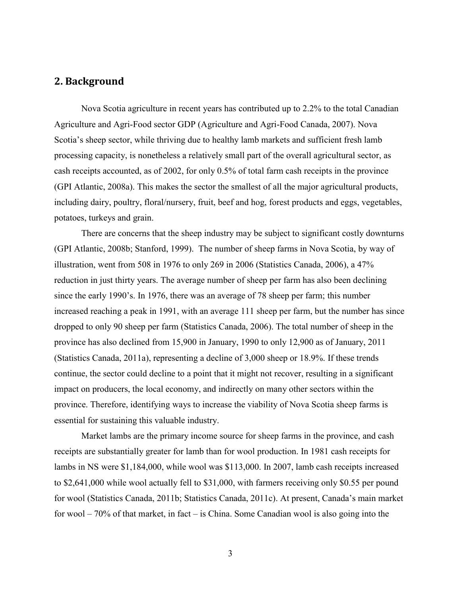## <span id="page-3-0"></span>**2. Background**

Nova Scotia agriculture in recent years has contributed up to 2.2% to the total Canadian Agriculture and Agri-Food sector GDP (Agriculture and Agri-Food Canada, 2007). Nova Scotia's sheep sector, while thriving due to healthy lamb markets and sufficient fresh lamb processing capacity, is nonetheless a relatively small part of the overall agricultural sector, as cash receipts accounted, as of 2002, for only 0.5% of total farm cash receipts in the province (GPI Atlantic, 2008a). This makes the sector the smallest of all the major agricultural products, including dairy, poultry, floral/nursery, fruit, beef and hog, forest products and eggs, vegetables, potatoes, turkeys and grain.

There are concerns that the sheep industry may be subject to significant costly downturns (GPI Atlantic, 2008b; Stanford, 1999). The number of sheep farms in Nova Scotia, by way of illustration, went from 508 in 1976 to only 269 in 2006 (Statistics Canada, 2006), a 47% reduction in just thirty years. The average number of sheep per farm has also been declining since the early 1990's. In 1976, there was an average of 78 sheep per farm; this number increased reaching a peak in 1991, with an average 111 sheep per farm, but the number has since dropped to only 90 sheep per farm (Statistics Canada, 2006). The total number of sheep in the province has also declined from 15,900 in January, 1990 to only 12,900 as of January, 2011 (Statistics Canada, 2011a), representing a decline of 3,000 sheep or 18.9%. If these trends continue, the sector could decline to a point that it might not recover, resulting in a significant impact on producers, the local economy, and indirectly on many other sectors within the province. Therefore, identifying ways to increase the viability of Nova Scotia sheep farms is essential for sustaining this valuable industry.

Market lambs are the primary income source for sheep farms in the province, and cash receipts are substantially greater for lamb than for wool production. In 1981 cash receipts for lambs in NS were \$1,184,000, while wool was \$113,000. In 2007, lamb cash receipts increased to \$2,641,000 while wool actually fell to \$31,000, with farmers receiving only \$0.55 per pound for wool (Statistics Canada, 2011b; Statistics Canada, 2011c). At present, Canada's main market for wool – 70% of that market, in fact – is China. Some Canadian wool is also going into the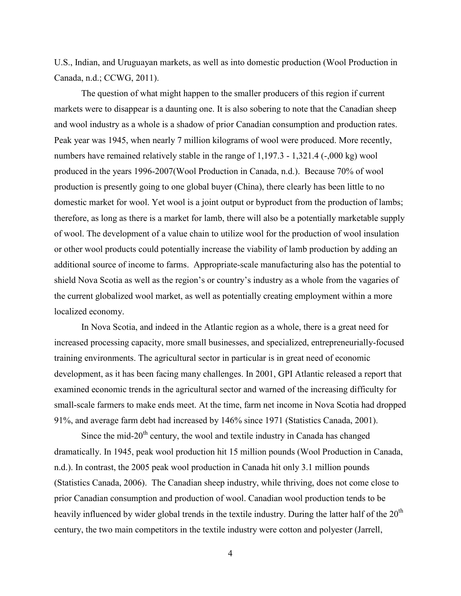U.S., Indian, and Uruguayan markets, as well as into domestic production (Wool Production in Canada, n.d.; CCWG, 2011).

The question of what might happen to the smaller producers of this region if current markets were to disappear is a daunting one. It is also sobering to note that the Canadian sheep and wool industry as a whole is a shadow of prior Canadian consumption and production rates. Peak year was 1945, when nearly 7 million kilograms of wool were produced. More recently, numbers have remained relatively stable in the range of 1,197.3 - 1,321.4 (-,000 kg) wool produced in the years 1996-2007(Wool Production in Canada, n.d.). Because 70% of wool production is presently going to one global buyer (China), there clearly has been little to no domestic market for wool. Yet wool is a joint output or byproduct from the production of lambs; therefore, as long as there is a market for lamb, there will also be a potentially marketable supply of wool. The development of a value chain to utilize wool for the production of wool insulation or other wool products could potentially increase the viability of lamb production by adding an additional source of income to farms. Appropriate-scale manufacturing also has the potential to shield Nova Scotia as well as the region's or country's industry as a whole from the vagaries of the current globalized wool market, as well as potentially creating employment within a more localized economy.

In Nova Scotia, and indeed in the Atlantic region as a whole, there is a great need for increased processing capacity, more small businesses, and specialized, entrepreneurially-focused training environments. The agricultural sector in particular is in great need of economic development, as it has been facing many challenges. In 2001, GPI Atlantic released a report that examined economic trends in the agricultural sector and warned of the increasing difficulty for small-scale farmers to make ends meet. At the time, farm net income in Nova Scotia had dropped 91%, and average farm debt had increased by 146% since 1971 (Statistics Canada, 2001).

Since the mid- $20<sup>th</sup>$  century, the wool and textile industry in Canada has changed dramatically. In 1945, peak wool production hit 15 million pounds (Wool Production in Canada, n.d.). In contrast, the 2005 peak wool production in Canada hit only 3.1 million pounds (Statistics Canada, 2006). The Canadian sheep industry, while thriving, does not come close to prior Canadian consumption and production of wool. Canadian wool production tends to be heavily influenced by wider global trends in the textile industry. During the latter half of the  $20<sup>th</sup>$ century, the two main competitors in the textile industry were cotton and polyester (Jarrell,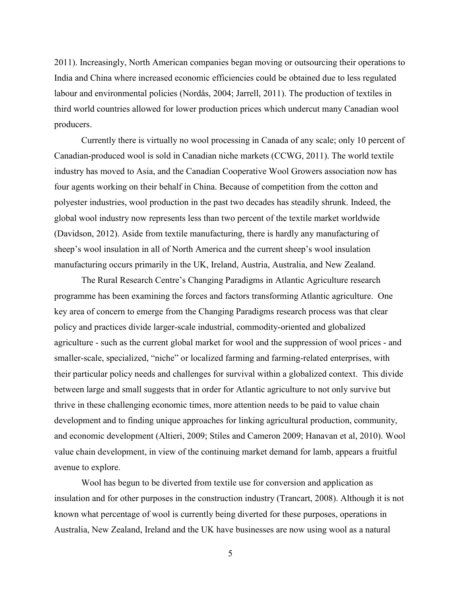2011). Increasingly, North American companies began moving or outsourcing their operations to India and China where increased economic efficiencies could be obtained due to less regulated labour and environmental policies (Nordås, 2004; Jarrell, 2011). The production of textiles in third world countries allowed for lower production prices which undercut many Canadian wool producers.

Currently there is virtually no wool processing in Canada of any scale; only 10 percent of Canadian-produced wool is sold in Canadian niche markets (CCWG, 2011). The world textile industry has moved to Asia, and the Canadian Cooperative Wool Growers association now has four agents working on their behalf in China. Because of competition from the cotton and polyester industries, wool production in the past two decades has steadily shrunk. Indeed, the global wool industry now represents less than two percent of the textile market worldwide (Davidson, 2012). Aside from textile manufacturing, there is hardly any manufacturing of sheep's wool insulation in all of North America and the current sheep's wool insulation manufacturing occurs primarily in the UK, Ireland, Austria, Australia, and New Zealand.

The Rural Research Centre's Changing Paradigms in Atlantic Agriculture research programme has been examining the forces and factors transforming Atlantic agriculture. One key area of concern to emerge from the Changing Paradigms research process was that clear policy and practices divide larger-scale industrial, commodity-oriented and globalized agriculture - such as the current global market for wool and the suppression of wool prices - and smaller-scale, specialized, "niche" or localized farming and farming-related enterprises, with their particular policy needs and challenges for survival within a globalized context. This divide between large and small suggests that in order for Atlantic agriculture to not only survive but thrive in these challenging economic times, more attention needs to be paid to value chain development and to finding unique approaches for linking agricultural production, community, and economic development (Altieri, 2009; Stiles and Cameron 2009; Hanavan et al, 2010). Wool value chain development, in view of the continuing market demand for lamb, appears a fruitful avenue to explore.

Wool has begun to be diverted from textile use for conversion and application as insulation and for other purposes in the construction industry (Trancart, 2008). Although it is not known what percentage of wool is currently being diverted for these purposes, operations in Australia, New Zealand, Ireland and the UK have businesses are now using wool as a natural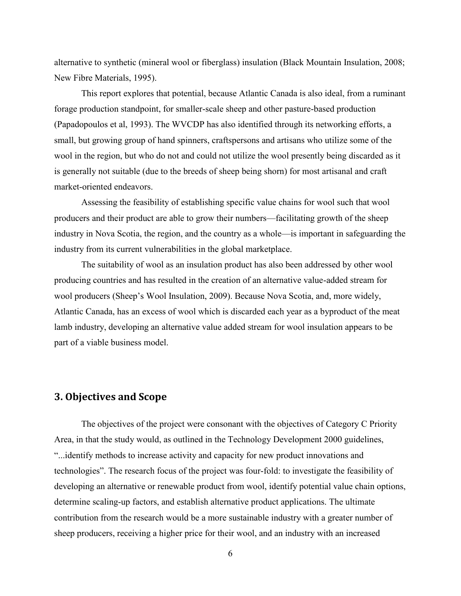alternative to synthetic (mineral wool or fiberglass) insulation (Black Mountain Insulation, 2008; New Fibre Materials, 1995).

This report explores that potential, because Atlantic Canada is also ideal, from a ruminant forage production standpoint, for smaller-scale sheep and other pasture-based production (Papadopoulos et al, 1993). The WVCDP has also identified through its networking efforts, a small, but growing group of hand spinners, craftspersons and artisans who utilize some of the wool in the region, but who do not and could not utilize the wool presently being discarded as it is generally not suitable (due to the breeds of sheep being shorn) for most artisanal and craft market-oriented endeavors.

Assessing the feasibility of establishing specific value chains for wool such that wool producers and their product are able to grow their numbers—facilitating growth of the sheep industry in Nova Scotia, the region, and the country as a whole—is important in safeguarding the industry from its current vulnerabilities in the global marketplace.

The suitability of wool as an insulation product has also been addressed by other wool producing countries and has resulted in the creation of an alternative value-added stream for wool producers (Sheep's Wool Insulation, 2009). Because Nova Scotia, and, more widely, Atlantic Canada, has an excess of wool which is discarded each year as a byproduct of the meat lamb industry, developing an alternative value added stream for wool insulation appears to be part of a viable business model.

#### <span id="page-6-0"></span>**3. Objectives and Scope**

The objectives of the project were consonant with the objectives of Category C Priority Area, in that the study would, as outlined in the Technology Development 2000 guidelines, "...identify methods to increase activity and capacity for new product innovations and technologies". The research focus of the project was four-fold: to investigate the feasibility of developing an alternative or renewable product from wool, identify potential value chain options, determine scaling-up factors, and establish alternative product applications. The ultimate contribution from the research would be a more sustainable industry with a greater number of sheep producers, receiving a higher price for their wool, and an industry with an increased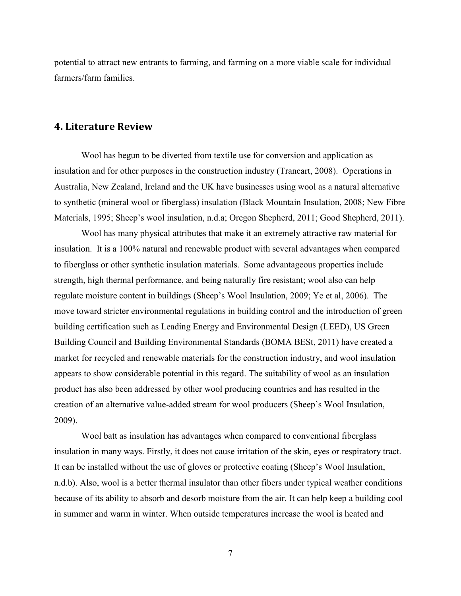potential to attract new entrants to farming, and farming on a more viable scale for individual farmers/farm families.

#### <span id="page-7-0"></span>**4. Literature Review**

Wool has begun to be diverted from textile use for conversion and application as insulation and for other purposes in the construction industry (Trancart, 2008). Operations in Australia, New Zealand, Ireland and the UK have businesses using wool as a natural alternative to synthetic (mineral wool or fiberglass) insulation (Black Mountain Insulation, 2008; New Fibre Materials, 1995; Sheep's wool insulation, n.d.a; Oregon Shepherd, 2011; Good Shepherd, 2011).

Wool has many physical attributes that make it an extremely attractive raw material for insulation. It is a 100% natural and renewable product with several advantages when compared to fiberglass or other synthetic insulation materials. Some advantageous properties include strength, high thermal performance, and being naturally fire resistant; wool also can help regulate moisture content in buildings (Sheep's Wool Insulation, 2009; Ye et al, 2006). The move toward stricter environmental regulations in building control and the introduction of green building certification such as Leading Energy and Environmental Design (LEED), US Green Building Council and Building Environmental Standards (BOMA BESt, 2011) have created a market for recycled and renewable materials for the construction industry, and wool insulation appears to show considerable potential in this regard. The suitability of wool as an insulation product has also been addressed by other wool producing countries and has resulted in the creation of an alternative value-added stream for wool producers (Sheep's Wool Insulation, 2009).

Wool batt as insulation has advantages when compared to conventional fiberglass insulation in many ways. Firstly, it does not cause irritation of the skin, eyes or respiratory tract. It can be installed without the use of gloves or protective coating (Sheep's Wool Insulation, n.d.b). Also, wool is a better thermal insulator than other fibers under typical weather conditions because of its ability to absorb and desorb moisture from the air. It can help keep a building cool in summer and warm in winter. When outside temperatures increase the wool is heated and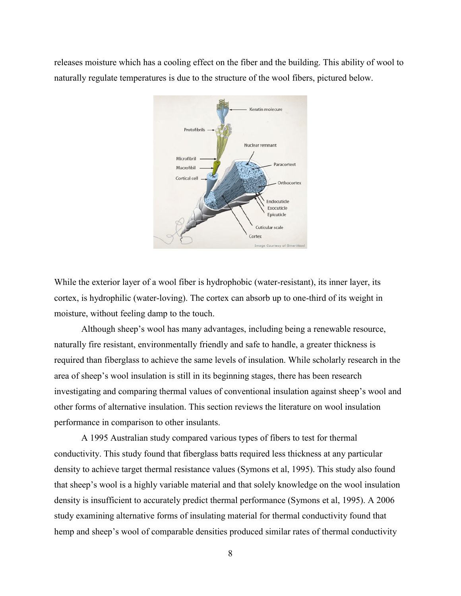releases moisture which has a cooling effect on the fiber and the building. This ability of wool to naturally regulate temperatures is due to the structure of the wool fibers, pictured below.



While the exterior layer of a wool fiber is hydrophobic (water-resistant), its inner layer, its cortex, is hydrophilic (water-loving). The cortex can absorb up to one-third of its weight in moisture, without feeling damp to the touch.

Although sheep's wool has many advantages, including being a renewable resource, naturally fire resistant, environmentally friendly and safe to handle, a greater thickness is required than fiberglass to achieve the same levels of insulation. While scholarly research in the area of sheep's wool insulation is still in its beginning stages, there has been research investigating and comparing thermal values of conventional insulation against sheep's wool and other forms of alternative insulation. This section reviews the literature on wool insulation performance in comparison to other insulants.

A 1995 Australian study compared various types of fibers to test for thermal conductivity. This study found that fiberglass batts required less thickness at any particular density to achieve target thermal resistance values (Symons et al, 1995). This study also found that sheep's wool is a highly variable material and that solely knowledge on the wool insulation density is insufficient to accurately predict thermal performance (Symons et al, 1995). A 2006 study examining alternative forms of insulating material for thermal conductivity found that hemp and sheep's wool of comparable densities produced similar rates of thermal conductivity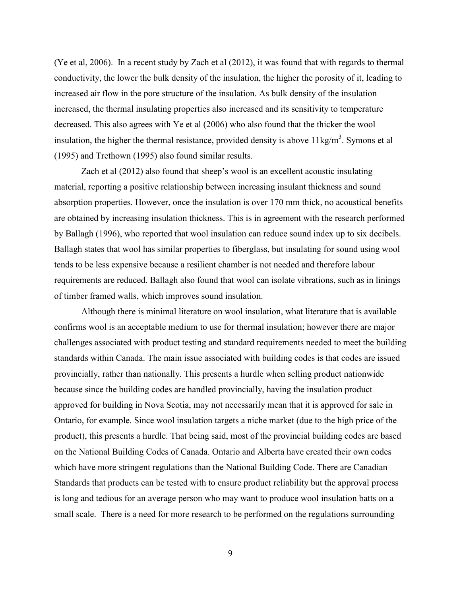(Ye et al, 2006). In a recent study by Zach et al (2012), it was found that with regards to thermal conductivity, the lower the bulk density of the insulation, the higher the porosity of it, leading to increased air flow in the pore structure of the insulation. As bulk density of the insulation increased, the thermal insulating properties also increased and its sensitivity to temperature decreased. This also agrees with Ye et al (2006) who also found that the thicker the wool insulation, the higher the thermal resistance, provided density is above  $11\text{kg/m}^3$ . Symons et al (1995) and Trethown (1995) also found similar results.

Zach et al (2012) also found that sheep's wool is an excellent acoustic insulating material, reporting a positive relationship between increasing insulant thickness and sound absorption properties. However, once the insulation is over 170 mm thick, no acoustical benefits are obtained by increasing insulation thickness. This is in agreement with the research performed by Ballagh (1996), who reported that wool insulation can reduce sound index up to six decibels. Ballagh states that wool has similar properties to fiberglass, but insulating for sound using wool tends to be less expensive because a resilient chamber is not needed and therefore labour requirements are reduced. Ballagh also found that wool can isolate vibrations, such as in linings of timber framed walls, which improves sound insulation.

Although there is minimal literature on wool insulation, what literature that is available confirms wool is an acceptable medium to use for thermal insulation; however there are major challenges associated with product testing and standard requirements needed to meet the building standards within Canada. The main issue associated with building codes is that codes are issued provincially, rather than nationally. This presents a hurdle when selling product nationwide because since the building codes are handled provincially, having the insulation product approved for building in Nova Scotia, may not necessarily mean that it is approved for sale in Ontario, for example. Since wool insulation targets a niche market (due to the high price of the product), this presents a hurdle. That being said, most of the provincial building codes are based on the National Building Codes of Canada. Ontario and Alberta have created their own codes which have more stringent regulations than the National Building Code. There are Canadian Standards that products can be tested with to ensure product reliability but the approval process is long and tedious for an average person who may want to produce wool insulation batts on a small scale. There is a need for more research to be performed on the regulations surrounding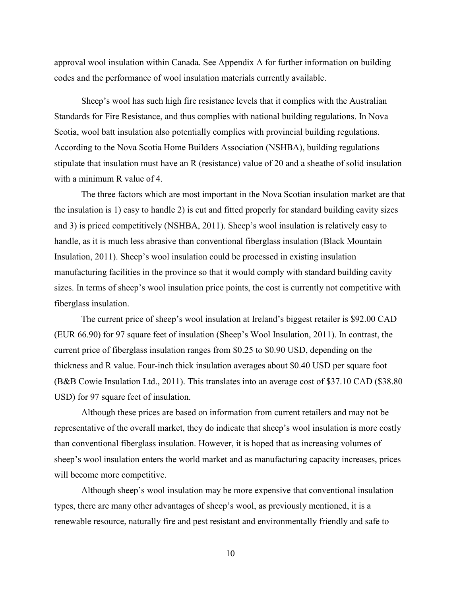approval wool insulation within Canada. See Appendix A for further information on building codes and the performance of wool insulation materials currently available.

Sheep's wool has such high fire resistance levels that it complies with the Australian Standards for Fire Resistance, and thus complies with national building regulations. In Nova Scotia, wool batt insulation also potentially complies with provincial building regulations. According to the Nova Scotia Home Builders Association (NSHBA), building regulations stipulate that insulation must have an R (resistance) value of 20 and a sheathe of solid insulation with a minimum R value of 4.

The three factors which are most important in the Nova Scotian insulation market are that the insulation is 1) easy to handle 2) is cut and fitted properly for standard building cavity sizes and 3) is priced competitively (NSHBA, 2011). Sheep's wool insulation is relatively easy to handle, as it is much less abrasive than conventional fiberglass insulation (Black Mountain Insulation, 2011). Sheep's wool insulation could be processed in existing insulation manufacturing facilities in the province so that it would comply with standard building cavity sizes. In terms of sheep's wool insulation price points, the cost is currently not competitive with fiberglass insulation.

The current price of sheep's wool insulation at Ireland's biggest retailer is \$92.00 CAD (EUR 66.90) for 97 square feet of insulation (Sheep's Wool Insulation, 2011). In contrast, the current price of fiberglass insulation ranges from \$0.25 to \$0.90 USD, depending on the thickness and R value. Four-inch thick insulation averages about \$0.40 USD per square foot (B&B Cowie Insulation Ltd., 2011). This translates into an average cost of \$37.10 CAD (\$38.80 USD) for 97 square feet of insulation.

Although these prices are based on information from current retailers and may not be representative of the overall market, they do indicate that sheep's wool insulation is more costly than conventional fiberglass insulation. However, it is hoped that as increasing volumes of sheep's wool insulation enters the world market and as manufacturing capacity increases, prices will become more competitive.

Although sheep's wool insulation may be more expensive that conventional insulation types, there are many other advantages of sheep's wool, as previously mentioned, it is a renewable resource, naturally fire and pest resistant and environmentally friendly and safe to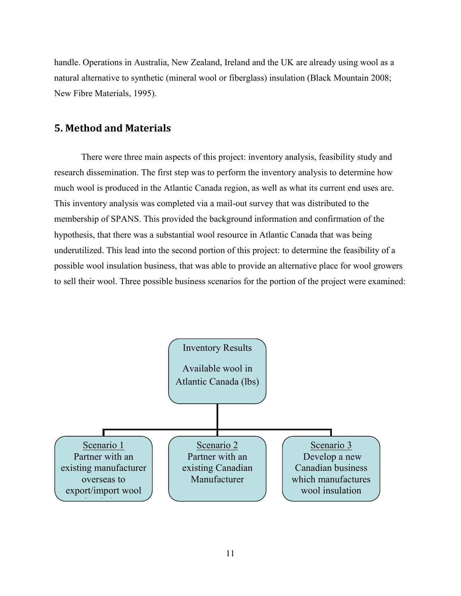handle. Operations in Australia, New Zealand, Ireland and the UK are already using wool as a natural alternative to synthetic (mineral wool or fiberglass) insulation (Black Mountain 2008; New Fibre Materials, 1995).

#### <span id="page-11-0"></span>**5. Method and Materials**

There were three main aspects of this project: inventory analysis, feasibility study and research dissemination. The first step was to perform the inventory analysis to determine how much wool is produced in the Atlantic Canada region, as well as what its current end uses are. This inventory analysis was completed via a mail-out survey that was distributed to the membership of SPANS. This provided the background information and confirmation of the hypothesis, that there was a substantial wool resource in Atlantic Canada that was being underutilized. This lead into the second portion of this project: to determine the feasibility of a possible wool insulation business, that was able to provide an alternative place for wool growers to sell their wool. Three possible business scenarios for the portion of the project were examined:

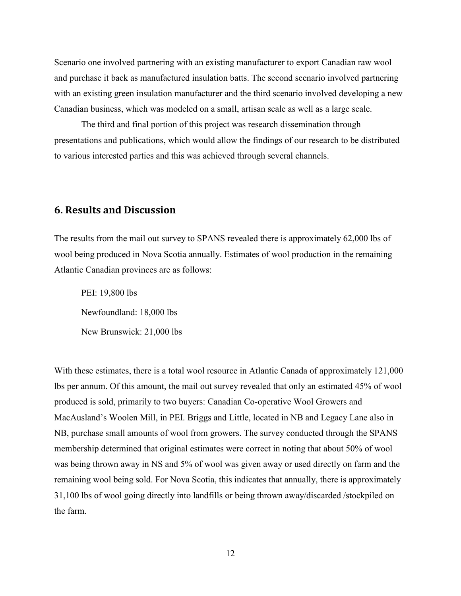Scenario one involved partnering with an existing manufacturer to export Canadian raw wool and purchase it back as manufactured insulation batts. The second scenario involved partnering with an existing green insulation manufacturer and the third scenario involved developing a new Canadian business, which was modeled on a small, artisan scale as well as a large scale.

The third and final portion of this project was research dissemination through presentations and publications, which would allow the findings of our research to be distributed to various interested parties and this was achieved through several channels.

#### <span id="page-12-0"></span>**6. Results and Discussion**

The results from the mail out survey to SPANS revealed there is approximately 62,000 lbs of wool being produced in Nova Scotia annually. Estimates of wool production in the remaining Atlantic Canadian provinces are as follows:

PEI: 19,800 lbs Newfoundland: 18,000 lbs New Brunswick: 21,000 lbs

With these estimates, there is a total wool resource in Atlantic Canada of approximately 121,000 lbs per annum. Of this amount, the mail out survey revealed that only an estimated 45% of wool produced is sold, primarily to two buyers: Canadian Co-operative Wool Growers and MacAusland's Woolen Mill, in PEI. Briggs and Little, located in NB and Legacy Lane also in NB, purchase small amounts of wool from growers. The survey conducted through the SPANS membership determined that original estimates were correct in noting that about 50% of wool was being thrown away in NS and 5% of wool was given away or used directly on farm and the remaining wool being sold. For Nova Scotia, this indicates that annually, there is approximately 31,100 lbs of wool going directly into landfills or being thrown away/discarded /stockpiled on the farm.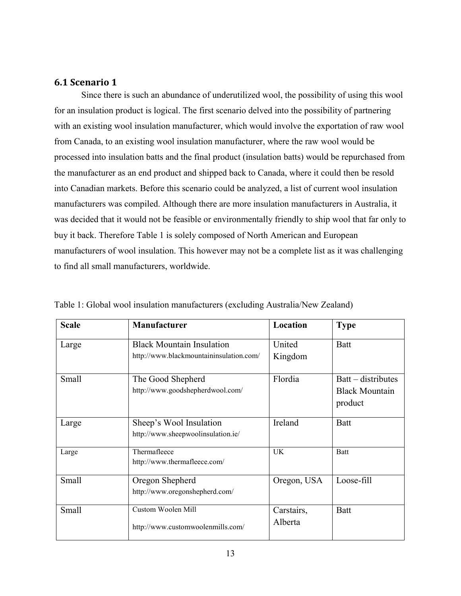#### <span id="page-13-0"></span>**6.1 Scenario 1**

Since there is such an abundance of underutilized wool, the possibility of using this wool for an insulation product is logical. The first scenario delved into the possibility of partnering with an existing wool insulation manufacturer, which would involve the exportation of raw wool from Canada, to an existing wool insulation manufacturer, where the raw wool would be processed into insulation batts and the final product (insulation batts) would be repurchased from the manufacturer as an end product and shipped back to Canada, where it could then be resold into Canadian markets. Before this scenario could be analyzed, a list of current wool insulation manufacturers was compiled. Although there are more insulation manufacturers in Australia, it was decided that it would not be feasible or environmentally friendly to ship wool that far only to buy it back. Therefore Table 1 is solely composed of North American and European manufacturers of wool insulation. This however may not be a complete list as it was challenging to find all small manufacturers, worldwide.

| <b>Scale</b> | <b>Manufacturer</b>                     | Location    | <b>Type</b>           |
|--------------|-----------------------------------------|-------------|-----------------------|
| Large        | <b>Black Mountain Insulation</b>        | United      | <b>Batt</b>           |
|              | http://www.blackmountaininsulation.com/ | Kingdom     |                       |
| Small        | The Good Shepherd                       | Flordia     | $B$ att – distributes |
|              | http://www.goodshepherdwool.com/        |             | <b>Black Mountain</b> |
|              |                                         |             | product               |
| Large        | Sheep's Wool Insulation                 | Ireland     | <b>Batt</b>           |
|              | http://www.sheepwoolinsulation.ie/      |             |                       |
| Large        | Thermafleece                            | <b>UK</b>   | Batt                  |
|              | http://www.thermafleece.com/            |             |                       |
| Small        | Oregon Shepherd                         | Oregon, USA | Loose-fill            |
|              | http://www.oregonshepherd.com/          |             |                       |
| Small        | Custom Woolen Mill                      | Carstairs,  | <b>Batt</b>           |
|              | http://www.customwoolenmills.com/       | Alberta     |                       |

Table 1: Global wool insulation manufacturers (excluding Australia/New Zealand)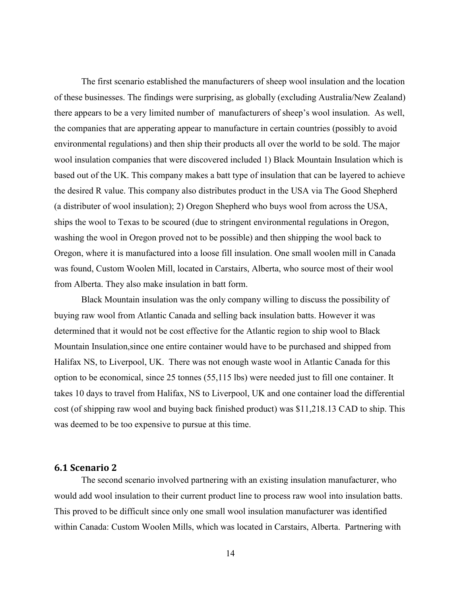The first scenario established the manufacturers of sheep wool insulation and the location of these businesses. The findings were surprising, as globally (excluding Australia/New Zealand) there appears to be a very limited number of manufacturers of sheep's wool insulation. As well, the companies that are apperating appear to manufacture in certain countries (possibly to avoid environmental regulations) and then ship their products all over the world to be sold. The major wool insulation companies that were discovered included 1) Black Mountain Insulation which is based out of the UK. This company makes a batt type of insulation that can be layered to achieve the desired R value. This company also distributes product in the USA via The Good Shepherd (a distributer of wool insulation); 2) Oregon Shepherd who buys wool from across the USA, ships the wool to Texas to be scoured (due to stringent environmental regulations in Oregon, washing the wool in Oregon proved not to be possible) and then shipping the wool back to Oregon, where it is manufactured into a loose fill insulation. One small woolen mill in Canada was found, Custom Woolen Mill, located in Carstairs, Alberta, who source most of their wool from Alberta. They also make insulation in batt form.

Black Mountain insulation was the only company willing to discuss the possibility of buying raw wool from Atlantic Canada and selling back insulation batts. However it was determined that it would not be cost effective for the Atlantic region to ship wool to Black Mountain Insulation,since one entire container would have to be purchased and shipped from Halifax NS, to Liverpool, UK. There was not enough waste wool in Atlantic Canada for this option to be economical, since 25 tonnes (55,115 lbs) were needed just to fill one container. It takes 10 days to travel from Halifax, NS to Liverpool, UK and one container load the differential cost (of shipping raw wool and buying back finished product) was \$11,218.13 CAD to ship. This was deemed to be too expensive to pursue at this time.

#### <span id="page-14-0"></span>**6.1 Scenario 2**

The second scenario involved partnering with an existing insulation manufacturer, who would add wool insulation to their current product line to process raw wool into insulation batts. This proved to be difficult since only one small wool insulation manufacturer was identified within Canada: Custom Woolen Mills, which was located in Carstairs, Alberta. Partnering with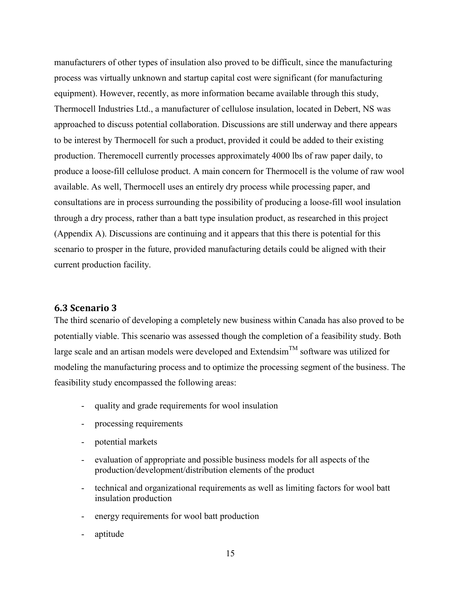manufacturers of other types of insulation also proved to be difficult, since the manufacturing process was virtually unknown and startup capital cost were significant (for manufacturing equipment). However, recently, as more information became available through this study, Thermocell Industries Ltd., a manufacturer of cellulose insulation, located in Debert, NS was approached to discuss potential collaboration. Discussions are still underway and there appears to be interest by Thermocell for such a product, provided it could be added to their existing production. Theremocell currently processes approximately 4000 lbs of raw paper daily, to produce a loose-fill cellulose product. A main concern for Thermocell is the volume of raw wool available. As well, Thermocell uses an entirely dry process while processing paper, and consultations are in process surrounding the possibility of producing a loose-fill wool insulation through a dry process, rather than a batt type insulation product, as researched in this project (Appendix A). Discussions are continuing and it appears that this there is potential for this scenario to prosper in the future, provided manufacturing details could be aligned with their current production facility.

#### <span id="page-15-0"></span>**6.3 Scenario 3**

The third scenario of developing a completely new business within Canada has also proved to be potentially viable. This scenario was assessed though the completion of a feasibility study. Both large scale and an artisan models were developed and  $Extendsim<sup>TM</sup>$  software was utilized for modeling the manufacturing process and to optimize the processing segment of the business. The feasibility study encompassed the following areas:

- quality and grade requirements for wool insulation
- processing requirements
- potential markets
- evaluation of appropriate and possible business models for all aspects of the production/development/distribution elements of the product
- technical and organizational requirements as well as limiting factors for wool batt insulation production
- energy requirements for wool batt production
- aptitude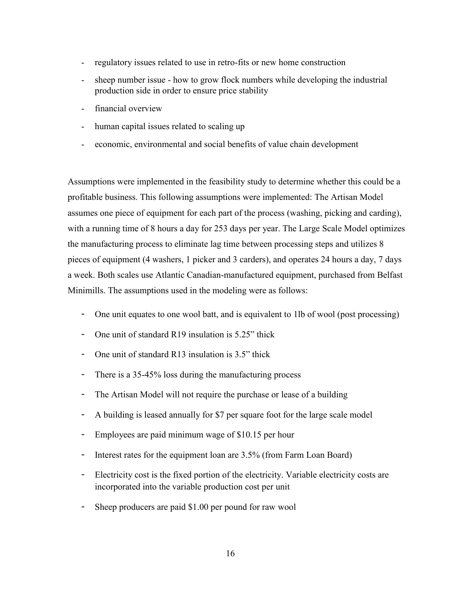- regulatory issues related to use in retro-fits or new home construction
- sheep number issue how to grow flock numbers while developing the industrial production side in order to ensure price stability
- financial overview
- human capital issues related to scaling up
- economic, environmental and social benefits of value chain development

Assumptions were implemented in the feasibility study to determine whether this could be a profitable business. This following assumptions were implemented: The Artisan Model assumes one piece of equipment for each part of the process (washing, picking and carding), with a running time of 8 hours a day for 253 days per year. The Large Scale Model optimizes the manufacturing process to eliminate lag time between processing steps and utilizes 8 pieces of equipment (4 washers, 1 picker and 3 carders), and operates 24 hours a day, 7 days a week. Both scales use Atlantic Canadian-manufactured equipment, purchased from Belfast Minimills. The assumptions used in the modeling were as follows:

- One unit equates to one wool batt, and is equivalent to 1lb of wool (post processing)
- One unit of standard R19 insulation is 5.25" thick
- One unit of standard R13 insulation is 3.5" thick
- There is a 35-45% loss during the manufacturing process
- The Artisan Model will not require the purchase or lease of a building
- A building is leased annually for \$7 per square foot for the large scale model
- Employees are paid minimum wage of \$10.15 per hour
- Interest rates for the equipment loan are 3.5% (from Farm Loan Board)
- Electricity cost is the fixed portion of the electricity. Variable electricity costs are incorporated into the variable production cost per unit
- Sheep producers are paid \$1.00 per pound for raw wool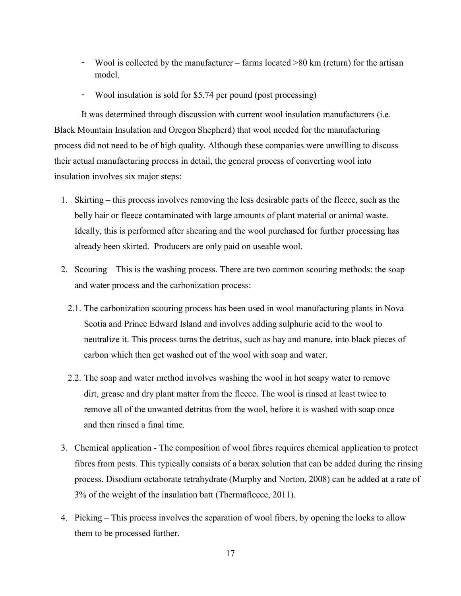- Wool is collected by the manufacturer farms located >80 km (return) for the artisan model.
- Wool insulation is sold for \$5.74 per pound (post processing)

It was determined through discussion with current wool insulation manufacturers (i.e. Black Mountain Insulation and Oregon Shepherd) that wool needed for the manufacturing process did not need to be of high quality. Although these companies were unwilling to discuss their actual manufacturing process in detail, the general process of converting wool into insulation involves six major steps:

- 1. Skirting this process involves removing the less desirable parts of the fleece, such as the belly hair or fleece contaminated with large amounts of plant material or animal waste. Ideally, this is performed after shearing and the wool purchased for further processing has already been skirted. Producers are only paid on useable wool.
- 2. Scouring This is the washing process. There are two common scouring methods: the soap and water process and the carbonization process:
	- 2.1. The carbonization scouring process has been used in wool manufacturing plants in Nova Scotia and Prince Edward Island and involves adding sulphuric acid to the wool to neutralize it. This process turns the detritus, such as hay and manure, into black pieces of carbon which then get washed out of the wool with soap and water.
	- 2.2. The soap and water method involves washing the wool in hot soapy water to remove dirt, grease and dry plant matter from the fleece. The wool is rinsed at least twice to remove all of the unwanted detritus from the wool, before it is washed with soap once and then rinsed a final time.
- 3. Chemical application The composition of wool fibres requires chemical application to protect fibres from pests. This typically consists of a borax solution that can be added during the rinsing process. Disodium octaborate tetrahydrate (Murphy and Norton, 2008) can be added at a rate of 3% of the weight of the insulation batt (Thermafleece, 2011).
- 4. Picking This process involves the separation of wool fibers, by opening the locks to allow them to be processed further.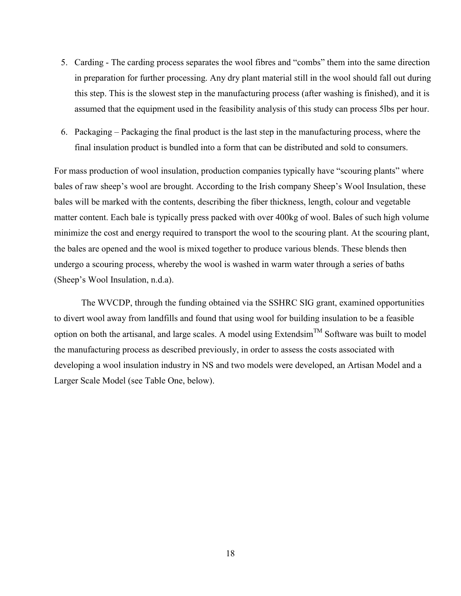- 5. Carding The carding process separates the wool fibres and "combs" them into the same direction in preparation for further processing. Any dry plant material still in the wool should fall out during this step. This is the slowest step in the manufacturing process (after washing is finished), and it is assumed that the equipment used in the feasibility analysis of this study can process 5lbs per hour.
- 6. Packaging Packaging the final product is the last step in the manufacturing process, where the final insulation product is bundled into a form that can be distributed and sold to consumers.

For mass production of wool insulation, production companies typically have "scouring plants" where bales of raw sheep's wool are brought. According to the Irish company Sheep's Wool Insulation, these bales will be marked with the contents, describing the fiber thickness, length, colour and vegetable matter content. Each bale is typically press packed with over 400kg of wool. Bales of such high volume minimize the cost and energy required to transport the wool to the scouring plant. At the scouring plant, the bales are opened and the wool is mixed together to produce various blends. These blends then undergo a scouring process, whereby the wool is washed in warm water through a series of baths (Sheep's Wool Insulation, n.d.a).

The WVCDP, through the funding obtained via the SSHRC SIG grant, examined opportunities to divert wool away from landfills and found that using wool for building insulation to be a feasible option on both the artisanal, and large scales. A model using ExtendsimTM Software was built to model the manufacturing process as described previously, in order to assess the costs associated with developing a wool insulation industry in NS and two models were developed, an Artisan Model and a Larger Scale Model (see Table One, below).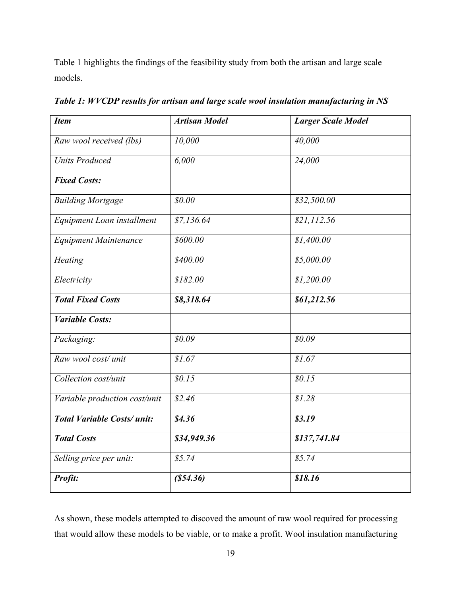Table 1 highlights the findings of the feasibility study from both the artisan and large scale models.

| <b>Item</b>                       | <b>Artisan Model</b> | <b>Larger Scale Model</b> |
|-----------------------------------|----------------------|---------------------------|
| Raw wool received (lbs)           | 10,000               | 40,000                    |
| <b>Units Produced</b>             | 6,000                | 24,000                    |
| <b>Fixed Costs:</b>               |                      |                           |
| <b>Building Mortgage</b>          | \$0.00               | \$32,500.00               |
| Equipment Loan installment        | \$7,136.64           | \$21,112.56               |
| <b>Equipment Maintenance</b>      | \$600.00             | \$1,400.00                |
| Heating                           | \$400.00             | \$5,000.00                |
| Electricity                       | \$182.00             | \$1,200.00                |
| <b>Total Fixed Costs</b>          | \$8,318.64           | \$61,212.56               |
| <b>Variable Costs:</b>            |                      |                           |
| Packaging:                        | \$0.09               | \$0.09\$                  |
| Raw wool cost/unit                | \$1.67               | \$1.67                    |
| Collection cost/unit              | \$0.15               | \$0.15                    |
| Variable production cost/unit     | \$2.46               | \$1.28                    |
| <b>Total Variable Costs/unit:</b> | \$4.36               | \$3.19                    |
| <b>Total Costs</b>                | \$34,949.36          | \$137,741.84              |
| Selling price per unit:           | \$5.74               | \$5.74                    |
| Profit:                           | (S54.36)             | \$18.16                   |

*Table 1: WVCDP results for artisan and large scale wool insulation manufacturing in NS*

As shown, these models attempted to discoved the amount of raw wool required for processing that would allow these models to be viable, or to make a profit. Wool insulation manufacturing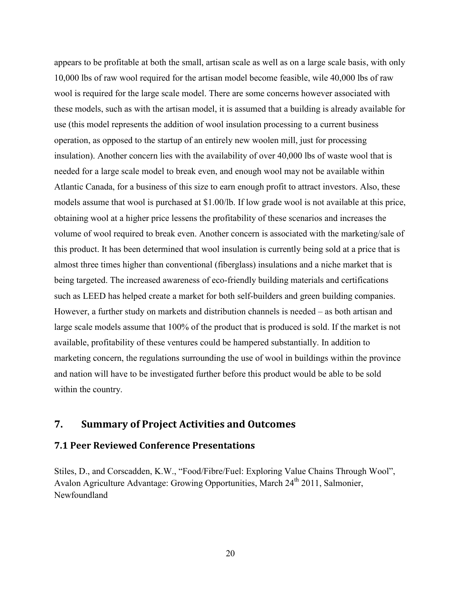appears to be profitable at both the small, artisan scale as well as on a large scale basis, with only 10,000 lbs of raw wool required for the artisan model become feasible, wile 40,000 lbs of raw wool is required for the large scale model. There are some concerns however associated with these models, such as with the artisan model, it is assumed that a building is already available for use (this model represents the addition of wool insulation processing to a current business operation, as opposed to the startup of an entirely new woolen mill, just for processing insulation). Another concern lies with the availability of over 40,000 lbs of waste wool that is needed for a large scale model to break even, and enough wool may not be available within Atlantic Canada, for a business of this size to earn enough profit to attract investors. Also, these models assume that wool is purchased at \$1.00/lb. If low grade wool is not available at this price, obtaining wool at a higher price lessens the profitability of these scenarios and increases the volume of wool required to break even. Another concern is associated with the marketing/sale of this product. It has been determined that wool insulation is currently being sold at a price that is almost three times higher than conventional (fiberglass) insulations and a niche market that is being targeted. The increased awareness of eco-friendly building materials and certifications such as LEED has helped create a market for both self-builders and green building companies. However, a further study on markets and distribution channels is needed – as both artisan and large scale models assume that 100% of the product that is produced is sold. If the market is not available, profitability of these ventures could be hampered substantially. In addition to marketing concern, the regulations surrounding the use of wool in buildings within the province and nation will have to be investigated further before this product would be able to be sold within the country.

#### <span id="page-20-0"></span>**7. Summary of Project Activities and Outcomes**

#### <span id="page-20-1"></span>**7.1 Peer Reviewed Conference Presentations**

Stiles, D., and Corscadden, K.W., "Food/Fibre/Fuel: Exploring Value Chains Through Wool", Avalon Agriculture Advantage: Growing Opportunities, March 24<sup>th</sup> 2011, Salmonier, Newfoundland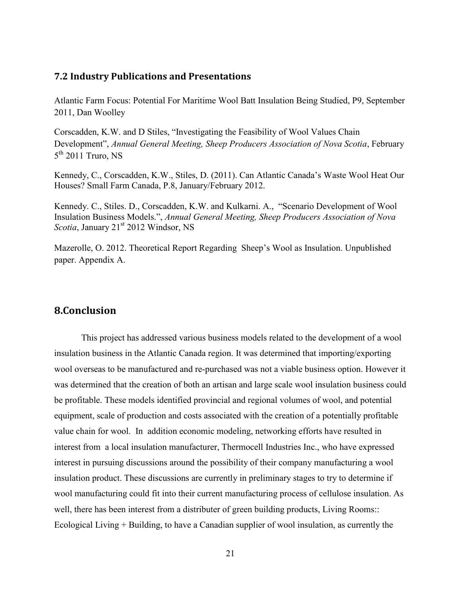#### <span id="page-21-0"></span>**7.2 Industry Publications and Presentations**

Atlantic Farm Focus: Potential For Maritime Wool Batt Insulation Being Studied, P9, September 2011, Dan Woolley

Corscadden, K.W. and D Stiles, "Investigating the Feasibility of Wool Values Chain Development", *Annual General Meeting, Sheep Producers Association of Nova Scotia*, February  $5<sup>th</sup>$  2011 Truro, NS

Kennedy, C., Corscadden, K.W., Stiles, D. (2011). Can Atlantic Canada's Waste Wool Heat Our Houses? Small Farm Canada, P.8, January/February 2012.

Kennedy. C., Stiles. D., Corscadden, K.W. and Kulkarni. A., "Scenario Development of Wool Insulation Business Models.", *Annual General Meeting, Sheep Producers Association of Nova Scotia*, January 21<sup>st</sup> 2012 Windsor, NS

Mazerolle, O. 2012. Theoretical Report Regarding Sheep's Wool as Insulation. Unpublished paper. Appendix A.

#### <span id="page-21-1"></span>**8.Conclusion**

This project has addressed various business models related to the development of a wool insulation business in the Atlantic Canada region. It was determined that importing/exporting wool overseas to be manufactured and re-purchased was not a viable business option. However it was determined that the creation of both an artisan and large scale wool insulation business could be profitable. These models identified provincial and regional volumes of wool, and potential equipment, scale of production and costs associated with the creation of a potentially profitable value chain for wool. In addition economic modeling, networking efforts have resulted in interest from a local insulation manufacturer, Thermocell Industries Inc., who have expressed interest in pursuing discussions around the possibility of their company manufacturing a wool insulation product. These discussions are currently in preliminary stages to try to determine if wool manufacturing could fit into their current manufacturing process of cellulose insulation. As well, there has been interest from a distributer of green building products, Living Rooms:: Ecological Living + Building, to have a Canadian supplier of wool insulation, as currently the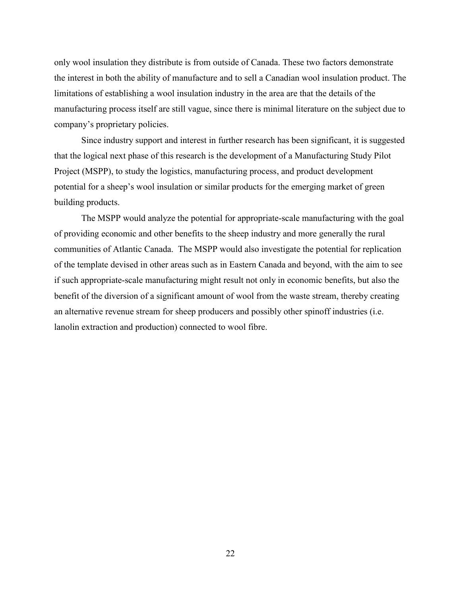only wool insulation they distribute is from outside of Canada. These two factors demonstrate the interest in both the ability of manufacture and to sell a Canadian wool insulation product. The limitations of establishing a wool insulation industry in the area are that the details of the manufacturing process itself are still vague, since there is minimal literature on the subject due to company's proprietary policies.

Since industry support and interest in further research has been significant, it is suggested that the logical next phase of this research is the development of a Manufacturing Study Pilot Project (MSPP), to study the logistics, manufacturing process, and product development potential for a sheep's wool insulation or similar products for the emerging market of green building products.

The MSPP would analyze the potential for appropriate-scale manufacturing with the goal of providing economic and other benefits to the sheep industry and more generally the rural communities of Atlantic Canada. The MSPP would also investigate the potential for replication of the template devised in other areas such as in Eastern Canada and beyond, with the aim to see if such appropriate-scale manufacturing might result not only in economic benefits, but also the benefit of the diversion of a significant amount of wool from the waste stream, thereby creating an alternative revenue stream for sheep producers and possibly other spinoff industries (i.e. lanolin extraction and production) connected to wool fibre.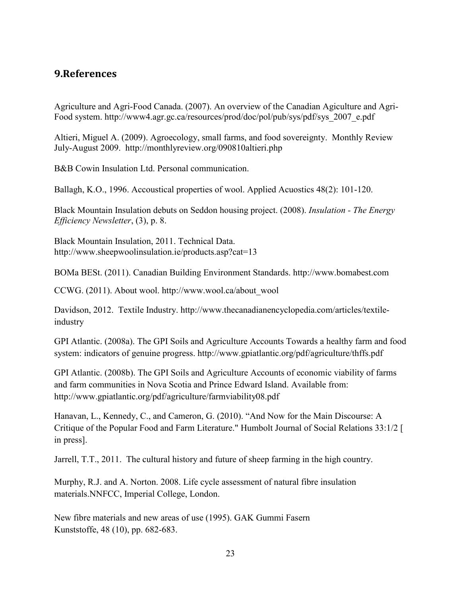# <span id="page-23-0"></span>**9.References**

Agriculture and Agri-Food Canada. (2007). An overview of the Canadian Agiculture and Agri-Food system. http://www4.agr.gc.ca/resources/prod/doc/pol/pub/sys/pdf/sys\_2007\_e.pdf

Altieri, Miguel A. (2009). Agroecology, small farms, and food sovereignty. Monthly Review July-August 2009. http://monthlyreview.org/090810altieri.php

B&B Cowin Insulation Ltd. Personal communication.

Ballagh, K.O., 1996. Accoustical properties of wool. Applied Acuostics 48(2): 101-120.

Black Mountain Insulation debuts on Seddon housing project. (2008). *Insulation - The Energy Efficiency Newsletter*, (3), p. 8.

Black Mountain Insulation, 2011. Technical Data. http://www.sheepwoolinsulation.ie/products.asp?cat=13

BOMa BESt. (2011). Canadian Building Environment Standards. http://www.bomabest.com

CCWG. (2011). About wool. http://www.wool.ca/about\_wool

Davidson, 2012. Textile Industry. http://www.thecanadianencyclopedia.com/articles/textileindustry

GPI Atlantic. (2008a). The GPI Soils and Agriculture Accounts Towards a healthy farm and food system: indicators of genuine progress. http://www.gpiatlantic.org/pdf/agriculture/thffs.pdf

GPI Atlantic. (2008b). The GPI Soils and Agriculture Accounts of economic viability of farms and farm communities in Nova Scotia and Prince Edward Island. Available from: http://www.gpiatlantic.org/pdf/agriculture/farmviability08.pdf

Hanavan, L., Kennedy, C., and Cameron, G. (2010). "And Now for the Main Discourse: A Critique of the Popular Food and Farm Literature." Humbolt Journal of Social Relations 33:1/2 [ in press].

Jarrell, T.T., 2011. The cultural history and future of sheep farming in the high country.

Murphy, R.J. and A. Norton. 2008. Life cycle assessment of natural fibre insulation materials.NNFCC, Imperial College, London.

New fibre materials and new areas of use (1995). GAK Gummi Fasern Kunststoffe, 48 (10), pp. 682-683.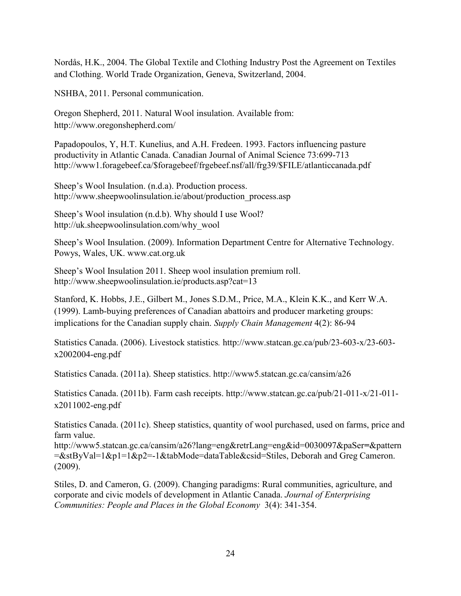Nordås, H.K., 2004. The Global Textile and Clothing Industry Post the Agreement on Textiles and Clothing. World Trade Organization, Geneva, Switzerland, 2004.

NSHBA, 2011. Personal communication.

Oregon Shepherd, 2011. Natural Wool insulation. Available from: http://www.oregonshepherd.com/

Papadopoulos, Y, H.T. Kunelius, and A.H. Fredeen. 1993. Factors influencing pasture productivity in Atlantic Canada. Canadian Journal of Animal Science 73:699-713 http://www1.foragebeef.ca/\$foragebeef/frgebeef.nsf/all/frg39/\$FILE/atlanticcanada.pdf

Sheep's Wool Insulation. (n.d.a). Production process. http://www.sheepwoolinsulation.ie/about/production\_process.asp

Sheep's Wool insulation (n.d.b). Why should I use Wool? http://uk.sheepwoolinsulation.com/why\_wool

Sheep's Wool Insulation. (2009). Information Department Centre for Alternative Technology. Powys, Wales, UK. www.cat.org.uk

Sheep's Wool Insulation 2011. Sheep wool insulation premium roll. http://www.sheepwoolinsulation.ie/products.asp?cat=13

Stanford, K. Hobbs, J.E., Gilbert M., Jones S.D.M., Price, M.A., Klein K.K., and Kerr W.A. (1999). Lamb-buying preferences of Canadian abattoirs and producer marketing groups: implications for the Canadian supply chain. *Supply Chain Management* 4(2): 86-94

Statistics Canada. (2006). Livestock statistics*.* http://www.statcan.gc.ca/pub/23-603-x/23-603 x2002004-eng.pdf

Statistics Canada. (2011a). Sheep statistics. http://www5.statcan.gc.ca/cansim/a26

Statistics Canada. (2011b). Farm cash receipts. http://www.statcan.gc.ca/pub/21-011-x/21-011 x2011002-eng.pdf

Statistics Canada. (2011c). Sheep statistics, quantity of wool purchased, used on farms, price and farm value.

http://www5.statcan.gc.ca/cansim/a26?lang=eng&retrLang=eng&id=0030097&paSer**=**&pattern =&stByVal=1&p1=1&p2=-1&tabMode=dataTable&csid=Stiles, Deborah and Greg Cameron. (2009).

Stiles, D. and Cameron, G. (2009). Changing paradigms: Rural communities, agriculture, and corporate and civic models of development in Atlantic Canada. *Journal of Enterprising Communities: People and Places in the Global Economy* 3(4): 341-354.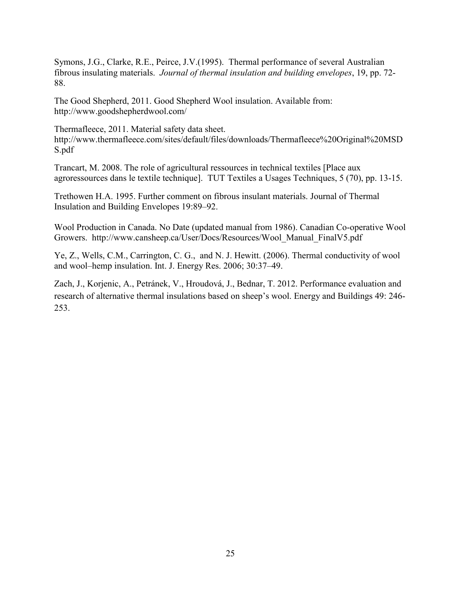Symons, J.G., Clarke, R.E., Peirce, J.V.(1995). Thermal performance of several Australian fibrous insulating materials. *Journal of thermal insulation and building envelopes*, 19, pp. 72- 88.

The Good Shepherd, 2011. Good Shepherd Wool insulation. Available from: http://www.goodshepherdwool.com/

Thermafleece, 2011. Material safety data sheet. http://www.thermafleece.com/sites/default/files/downloads/Thermafleece%20Original%20MSD S.pdf

Trancart, M. 2008. The role of agricultural ressources in technical textiles [Place aux agroressources dans le textile technique]. TUT Textiles a Usages Techniques, 5 (70), pp. 13-15.

Trethowen H.A. 1995. Further comment on fibrous insulant materials. Journal of Thermal Insulation and Building Envelopes 19:89–92.

Wool Production in Canada. No Date (updated manual from 1986). Canadian Co-operative Wool Growers. http://www.cansheep.ca/User/Docs/Resources/Wool\_Manual\_FinalV5.pdf

Ye, Z., Wells, C.M., Carrington, C. G., and N. J. Hewitt. (2006). Thermal conductivity of wool and wool–hemp insulation. Int. J. Energy Res. 2006; 30:37–49.

Zach, J., Korjenic, A., Petránek, V., Hroudová, J., Bednar, T. 2012. Performance evaluation and research of alternative thermal insulations based on sheep's wool. Energy and Buildings 49: 246- 253.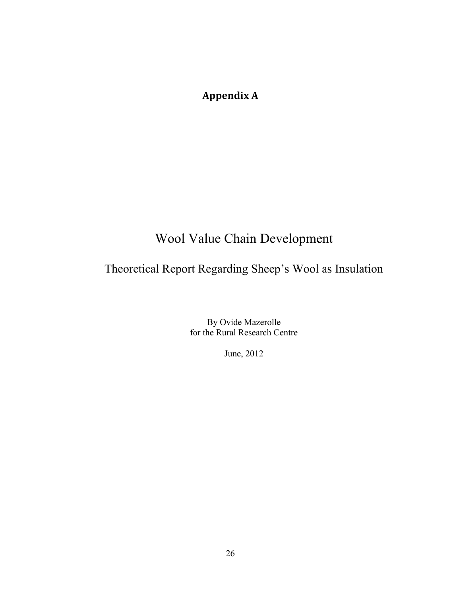# <span id="page-26-0"></span>**Appendix A**

# Wool Value Chain Development

# Theoretical Report Regarding Sheep's Wool as Insulation

By Ovide Mazerolle for the Rural Research Centre

June, 2012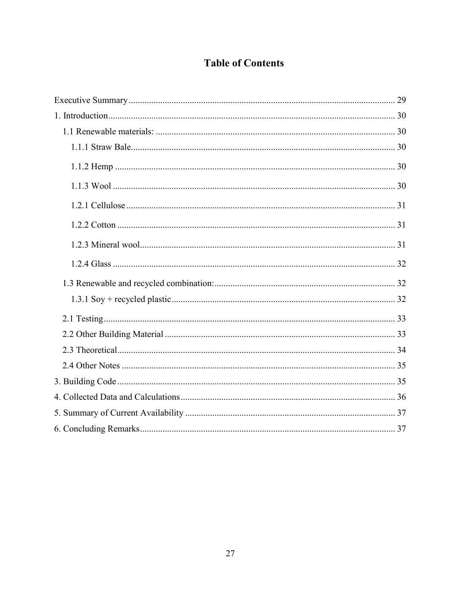# **Table of Contents**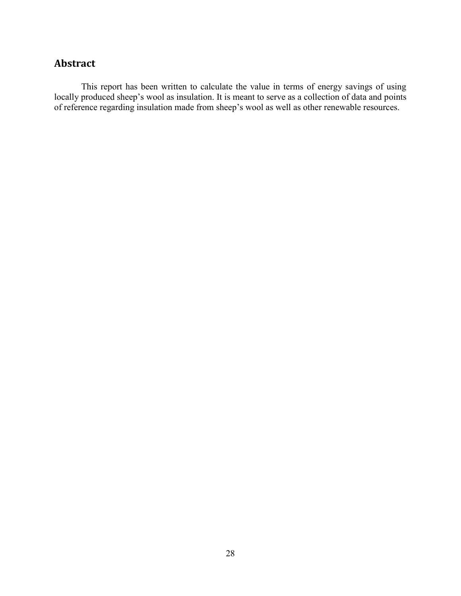# **Abstract**

This report has been written to calculate the value in terms of energy savings of using locally produced sheep's wool as insulation. It is meant to serve as a collection of data and points of reference regarding insulation made from sheep's wool as well as other renewable resources.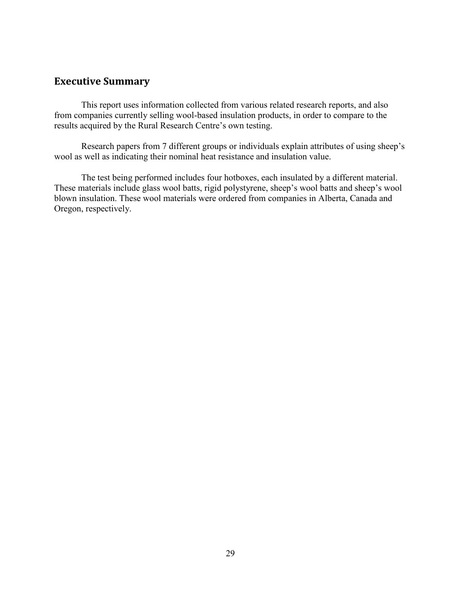## **Executive Summary**

This report uses information collected from various related research reports, and also from companies currently selling wool-based insulation products, in order to compare to the results acquired by the Rural Research Centre's own testing.

Research papers from 7 different groups or individuals explain attributes of using sheep's wool as well as indicating their nominal heat resistance and insulation value.

The test being performed includes four hotboxes, each insulated by a different material. These materials include glass wool batts, rigid polystyrene, sheep's wool batts and sheep's wool blown insulation. These wool materials were ordered from companies in Alberta, Canada and Oregon, respectively.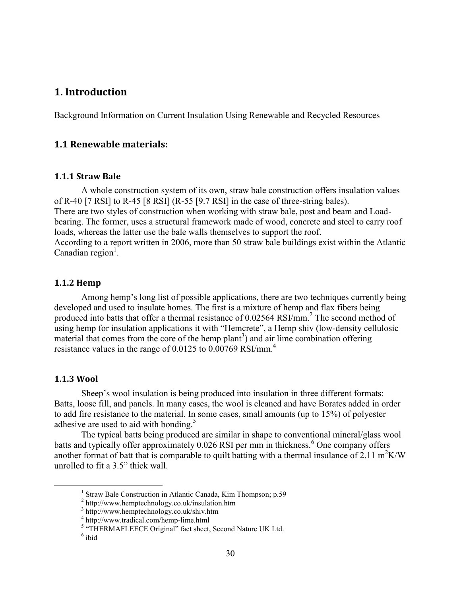## **1. Introduction**

Background Information on Current Insulation Using Renewable and Recycled Resources

#### **1.1 Renewable materials:**

#### **1.1.1 Straw Bale**

A whole construction system of its own, straw bale construction offers insulation values of R-40 [7 RSI] to R-45 [8 RSI] (R-55 [9.7 RSI] in the case of three-string bales). There are two styles of construction when working with straw bale, post and beam and Loadbearing. The former, uses a structural framework made of wood, concrete and steel to carry roof loads, whereas the latter use the bale walls themselves to support the roof. According to a report written in 2006, more than 50 straw bale buildings exist within the Atlantic Canadian region<sup>1</sup>.

#### **1.1.2 Hemp**

Among hemp's long list of possible applications, there are two techniques currently being developed and used to insulate homes. The first is a mixture of hemp and flax fibers being produced into batts that offer a thermal resistance of 0.02564 RSI/mm.<sup>2</sup> The second method of using hemp for insulation applications it with "Hemcrete", a Hemp shiv (low-density cellulosic material that comes from the core of the hemp plant<sup>3</sup>) and air lime combination offering resistance values in the range of 0.0125 to 0.00769 RSI/mm.<sup>4</sup>

#### **1.1.3 Wool**

 $\overline{a}$ 

Sheep's wool insulation is being produced into insulation in three different formats: Batts, loose fill, and panels. In many cases, the wool is cleaned and have Borates added in order to add fire resistance to the material. In some cases, small amounts (up to 15%) of polyester adhesive are used to aid with bonding.<sup>5</sup>

The typical batts being produced are similar in shape to conventional mineral/glass wool batts and typically offer approximately  $0.026$  RSI per mm in thickness.<sup>6</sup> One company offers another format of batt that is comparable to quilt batting with a thermal insulance of 2.11 m<sup>2</sup>K/W unrolled to fit a 3.5" thick wall.

<sup>&</sup>lt;sup>1</sup> Straw Bale Construction in Atlantic Canada, Kim Thompson; p.59

<sup>&</sup>lt;sup>2</sup> http://www.hemptechnology.co.uk/insulation.htm

<sup>3</sup> http://www.hemptechnology.co.uk/shiv.htm

<sup>4</sup> http://www.tradical.com/hemp-lime.html

<sup>&</sup>lt;sup>5</sup> "THERMAFLEECE Original" fact sheet, Second Nature UK Ltd.

<sup>6</sup> ibid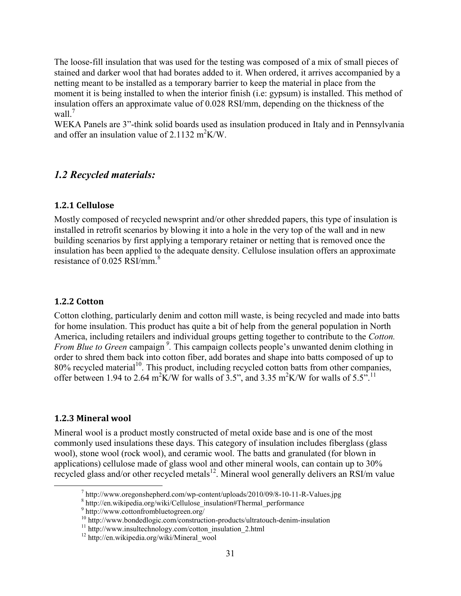The loose-fill insulation that was used for the testing was composed of a mix of small pieces of stained and darker wool that had borates added to it. When ordered, it arrives accompanied by a netting meant to be installed as a temporary barrier to keep the material in place from the moment it is being installed to when the interior finish (i.e: gypsum) is installed. This method of insulation offers an approximate value of 0.028 RSI/mm, depending on the thickness of the wall  $^7$ 

WEKA Panels are 3"-think solid boards used as insulation produced in Italy and in Pennsylvania and offer an insulation value of  $2.1132 \text{ m}^2 \text{K/W}$ .

#### *1.2 Recycled materials:*

#### **1.2.1 Cellulose**

Mostly composed of recycled newsprint and/or other shredded papers, this type of insulation is installed in retrofit scenarios by blowing it into a hole in the very top of the wall and in new building scenarios by first applying a temporary retainer or netting that is removed once the insulation has been applied to the adequate density. Cellulose insulation offers an approximate resistance of 0.025 RSI/mm.<sup>8</sup>

#### **1.2.2 Cotton**

Cotton clothing, particularly denim and cotton mill waste, is being recycled and made into batts for home insulation. This product has quite a bit of help from the general population in North America, including retailers and individual groups getting together to contribute to the *Cotton. From Blue to Green* campaign *<sup>9</sup> .* This campaign collects people's unwanted denim clothing in order to shred them back into cotton fiber, add borates and shape into batts composed of up to  $80\%$  recycled material<sup>10</sup>. This product, including recycled cotton batts from other companies, offer between 1.94 to 2.64 m<sup>2</sup>K/W for walls of 3.5", and 3.35 m<sup>2</sup>K/W for walls of 5.5<sup>", 11</sup>

#### **1.2.3 Mineral wool**

 $\overline{a}$ 

Mineral wool is a product mostly constructed of metal oxide base and is one of the most commonly used insulations these days. This category of insulation includes fiberglass (glass wool), stone wool (rock wool), and ceramic wool. The batts and granulated (for blown in applications) cellulose made of glass wool and other mineral wools, can contain up to 30% recycled glass and/or other recycled metals<sup>12</sup>. Mineral wool generally delivers an RSI/m value

<sup>&</sup>lt;sup>7</sup> http://www.oregonshepherd.com/wp-content/uploads/2010/09/8-10-11-R-Values.jpg

<sup>8</sup> http://en.wikipedia.org/wiki/Cellulose\_insulation#Thermal\_performance

<sup>9</sup> http://www.cottonfrombluetogreen.org/

<sup>&</sup>lt;sup>10</sup> http://www.bondedlogic.com/construction-products/ultratouch-denim-insulation

 $11$  http://www.insultechnology.com/cotton\_insulation\_2.html

<sup>&</sup>lt;sup>12</sup> http://en.wikipedia.org/wiki/Mineral\_wool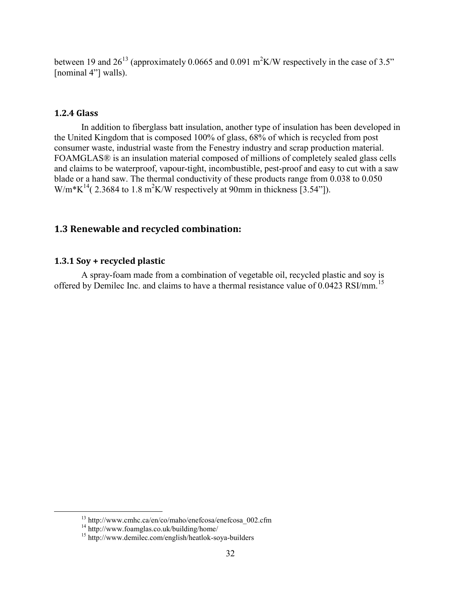between 19 and  $26^{13}$  (approximately 0.0665 and 0.091 m<sup>2</sup>K/W respectively in the case of 3.5" [nominal 4"] walls).

#### **1.2.4 Glass**

In addition to fiberglass batt insulation, another type of insulation has been developed in the United Kingdom that is composed 100% of glass, 68% of which is recycled from post consumer waste, industrial waste from the Fenestry industry and scrap production material. FOAMGLAS® is an insulation material composed of millions of completely sealed glass cells and claims to be waterproof, vapour-tight, incombustible, pest-proof and easy to cut with a saw blade or a hand saw. The thermal conductivity of these products range from 0.038 to 0.050 W/m\*K<sup>14</sup>(2.3684 to 1.8 m<sup>2</sup>K/W respectively at 90mm in thickness [3.54"]).

### **1.3 Renewable and recycled combination:**

#### **1.3.1 Soy + recycled plastic**

A spray-foam made from a combination of vegetable oil, recycled plastic and soy is offered by Demilec Inc. and claims to have a thermal resistance value of 0.0423 RSI/mm.<sup>15</sup>

 $\overline{a}$ 

 $13$  http://www.cmhc.ca/en/co/maho/enefcosa/enefcosa\_002.cfm

<sup>14</sup> http://www.foamglas.co.uk/building/home/

<sup>15</sup> http://www.demilec.com/english/heatlok-soya-builders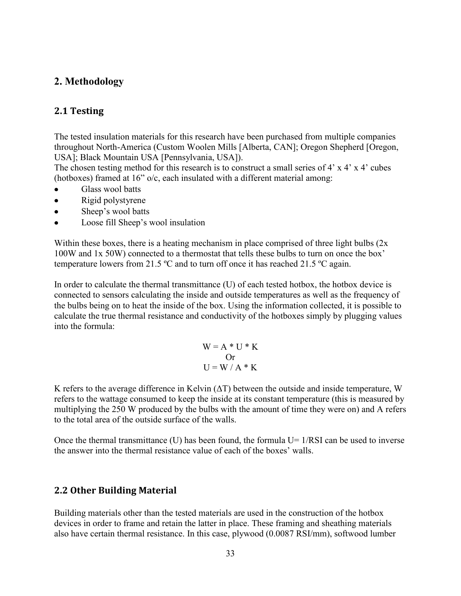## **2. Methodology**

#### **2.1 Testing**

The tested insulation materials for this research have been purchased from multiple companies throughout North-America (Custom Woolen Mills [Alberta, CAN]; Oregon Shepherd [Oregon, USA]; Black Mountain USA [Pennsylvania, USA]).

The chosen testing method for this research is to construct a small series of 4' x 4' x 4' cubes (hotboxes) framed at 16" o/c, each insulated with a different material among:

- $\bullet$ Glass wool batts
- Rigid polystyrene  $\bullet$
- Sheep's wool batts  $\bullet$
- $\bullet$ Loose fill Sheep's wool insulation

Within these boxes, there is a heating mechanism in place comprised of three light bulbs (2x) 100W and 1x 50W) connected to a thermostat that tells these bulbs to turn on once the box' temperature lowers from 21.5 ºC and to turn off once it has reached 21.5 ºC again.

In order to calculate the thermal transmittance (U) of each tested hotbox, the hotbox device is connected to sensors calculating the inside and outside temperatures as well as the frequency of the bulbs being on to heat the inside of the box. Using the information collected, it is possible to calculate the true thermal resistance and conductivity of the hotboxes simply by plugging values into the formula:

$$
W = A * U * K
$$
  
Or  

$$
U = W / A * K
$$

K refers to the average difference in Kelvin  $(\Delta T)$  between the outside and inside temperature, W refers to the wattage consumed to keep the inside at its constant temperature (this is measured by multiplying the 250 W produced by the bulbs with the amount of time they were on) and A refers to the total area of the outside surface of the walls.

Once the thermal transmittance (U) has been found, the formula  $U=1/RSI$  can be used to inverse the answer into the thermal resistance value of each of the boxes' walls.

#### **2.2 Other Building Material**

Building materials other than the tested materials are used in the construction of the hotbox devices in order to frame and retain the latter in place. These framing and sheathing materials also have certain thermal resistance. In this case, plywood (0.0087 RSI/mm), softwood lumber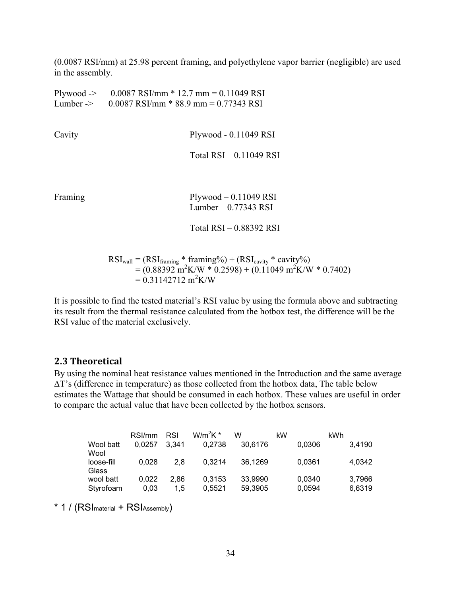(0.0087 RSI/mm) at 25.98 percent framing, and polyethylene vapor barrier (negligible) are used in the assembly.

| Lumber $\rightarrow$ | Plywood -> $0.0087$ RSI/mm $*$ 12.7 mm = 0.11049 RSI<br>$0.0087$ RSI/mm $*$ 88.9 mm = 0.77343 RSI                                                                                                                           |
|----------------------|-----------------------------------------------------------------------------------------------------------------------------------------------------------------------------------------------------------------------------|
|                      |                                                                                                                                                                                                                             |
| Cavity               | Plywood - 0.11049 RSI                                                                                                                                                                                                       |
|                      | Total $RSI - 0.11049 RSI$                                                                                                                                                                                                   |
| Framing              | $Plywood - 0.11049$ RSI                                                                                                                                                                                                     |
|                      | Lumber $-0.77343$ RSI                                                                                                                                                                                                       |
|                      | Total RSI-0.88392 RSI                                                                                                                                                                                                       |
|                      | $\text{RSI}_{\text{wall}} = (\text{RSI}_{\text{framing}} * \text{framing\%}) + (\text{RSI}_{\text{cavity}} * \text{cavity\%})$<br>$= (0.88392 \text{ m}^2 \text{K/W} * 0.2598) + (0.11049 \text{ m}^2 \text{K/W} * 0.7402)$ |

 $= 0.31142712 \text{ m}^2 \text{K/W}$ 

It is possible to find the tested material's RSI value by using the formula above and subtracting its result from the thermal resistance calculated from the hotbox test, the difference will be the RSI value of the material exclusively.

#### **2.3 Theoretical**

By using the nominal heat resistance values mentioned in the Introduction and the same average ∆T's (difference in temperature) as those collected from the hotbox data, The table below estimates the Wattage that should be consumed in each hotbox. These values are useful in order to compare the actual value that have been collected by the hotbox sensors.

|            | RSI/mm | RSI   | $W/m^2K^*$ | w       | kW |        | kWh |        |
|------------|--------|-------|------------|---------|----|--------|-----|--------|
| Wool batt  | 0.0257 | 3.341 | 0.2738     | 30.6176 |    | 0,0306 |     | 3,4190 |
| Wool       |        |       |            |         |    |        |     |        |
| loose-fill | 0.028  | 2.8   | 0.3214     | 36.1269 |    | 0,0361 |     | 4.0342 |
| Glass      |        |       |            |         |    |        |     |        |
| wool batt  | 0.022  | 2.86  | 0.3153     | 33,9990 |    | 0,0340 |     | 3.7966 |
| Styrofoam  | 0.03   | 1.5   | 0.5521     | 59,3905 |    | 0,0594 |     | 6,6319 |

\* 1 / (RSI material + RSI Assembly)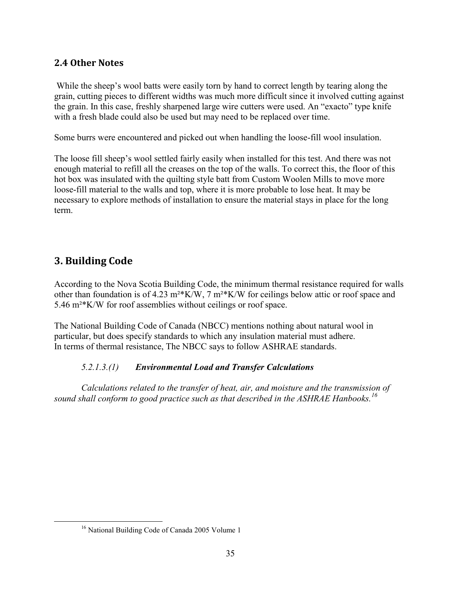## **2.4 Other Notes**

While the sheep's wool batts were easily torn by hand to correct length by tearing along the grain, cutting pieces to different widths was much more difficult since it involved cutting against the grain. In this case, freshly sharpened large wire cutters were used. An "exacto" type knife with a fresh blade could also be used but may need to be replaced over time.

Some burrs were encountered and picked out when handling the loose-fill wool insulation.

The loose fill sheep's wool settled fairly easily when installed for this test. And there was not enough material to refill all the creases on the top of the walls. To correct this, the floor of this hot box was insulated with the quilting style batt from Custom Woolen Mills to move more loose-fill material to the walls and top, where it is more probable to lose heat. It may be necessary to explore methods of installation to ensure the material stays in place for the long term.

# **3. Building Code**

 $\overline{a}$ 

According to the Nova Scotia Building Code, the minimum thermal resistance required for walls other than foundation is of 4.23 m²\*K/W, 7 m²\*K/W for ceilings below attic or roof space and 5.46 m²\*K/W for roof assemblies without ceilings or roof space.

The National Building Code of Canada (NBCC) mentions nothing about natural wool in particular, but does specify standards to which any insulation material must adhere. In terms of thermal resistance, The NBCC says to follow ASHRAE standards.

#### *5.2.1.3.(1) Environmental Load and Transfer Calculations*

*Calculations related to the transfer of heat, air, and moisture and the transmission of sound shall conform to good practice such as that described in the ASHRAE Hanbooks.<sup>16</sup>*

<sup>&</sup>lt;sup>16</sup> National Building Code of Canada 2005 Volume 1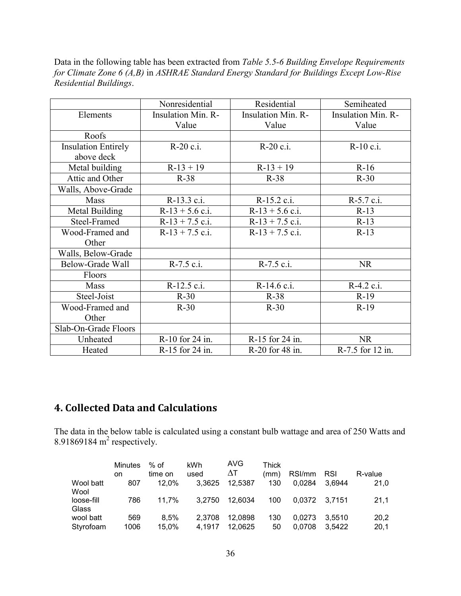Data in the following table has been extracted from *Table 5.5-6 Building Envelope Requirements for Climate Zone 6 (A,B)* in *ASHRAE Standard Energy Standard for Buildings Except Low-Rise Residential Buildings*.

|                            | Nonresidential            | Residential               | Semiheated                |
|----------------------------|---------------------------|---------------------------|---------------------------|
| Elements                   | <b>Insulation Min. R-</b> | <b>Insulation Min. R-</b> | <b>Insulation Min. R-</b> |
|                            |                           |                           |                           |
|                            | Value                     | Value                     | Value                     |
| Roofs                      |                           |                           |                           |
| <b>Insulation Entirely</b> | R-20 c.i.                 | R-20 c.i.                 | R-10 c.i.                 |
| above deck                 |                           |                           |                           |
| Metal building             | $R-13+19$                 | $R-13 + 19$               | $R-16$                    |
| Attic and Other            | $R-38$                    | $R-38$                    | $R-30$                    |
| Walls, Above-Grade         |                           |                           |                           |
| Mass                       | R-13.3 c.i.               | R-15.2 c.i.               | R-5.7 c.i.                |
| Metal Building             | $R-13 + 5.6$ c.i.         | $R-13 + 5.6$ c.i.         | $R-13$                    |
| Steel-Framed               | $R-13 + 7.5$ c.i.         | $R-13 + 7.5$ c.i.         | $R-13$                    |
| Wood-Framed and            | $R-13 + 7.5$ c.i.         | $R-13 + 7.5$ c.i.         | $R-13$                    |
| Other                      |                           |                           |                           |
| Walls, Below-Grade         |                           |                           |                           |
| Below-Grade Wall           | $R-7.5$ c.i.              | $R-7.5$ c.i.              | <b>NR</b>                 |
| Floors                     |                           |                           |                           |
| Mass                       | R-12.5 c.i.               | R-14.6 c.i.               | R-4.2 c.i.                |
| Steel-Joist                | $R-30$                    | $R-38$                    | $R-19$                    |
| Wood-Framed and            | $R-30$                    | $R-30$                    | $R-19$                    |
| Other                      |                           |                           |                           |
| Slab-On-Grade Floors       |                           |                           |                           |
| Unheated                   | R-10 for 24 in.           | R-15 for 24 in.           | <b>NR</b>                 |
| Heated                     | R-15 for 24 in.           | R-20 for 48 in.           | R-7.5 for 12 in.          |

# **4. Collected Data and Calculations**

The data in the below table is calculated using a constant bulb wattage and area of 250 Watts and 8.91869184 $m<sup>2</sup>$  respectively.

|            | <b>Minutes</b><br>on | $%$ of<br>time on | kWh<br>used | AVG<br>ΛT. | <b>Thick</b><br>(mm) | RSI/mm | <b>RSI</b> | R-value |
|------------|----------------------|-------------------|-------------|------------|----------------------|--------|------------|---------|
| Wool batt  | 807                  | 12.0%             | 3.3625      | 12.5387    | 130                  | 0.0284 | 3.6944     | 21,0    |
| Wool       |                      |                   |             |            |                      |        |            |         |
| loose-fill | 786                  | 11.7%             | 3.2750      | 12.6034    | 100                  | 0.0372 | - 3.7151   | 21.1    |
| Glass      |                      |                   |             |            |                      |        |            |         |
| wool batt  | 569                  | 8.5%              | 2,3708      | 12,0898    | 130                  | 0.0273 | 3.5510     | 20,2    |
| Styrofoam  | 1006                 | 15,0%             | 4.1917      | 12,0625    | 50                   | 0.0708 | 3.5422     | 20,1    |